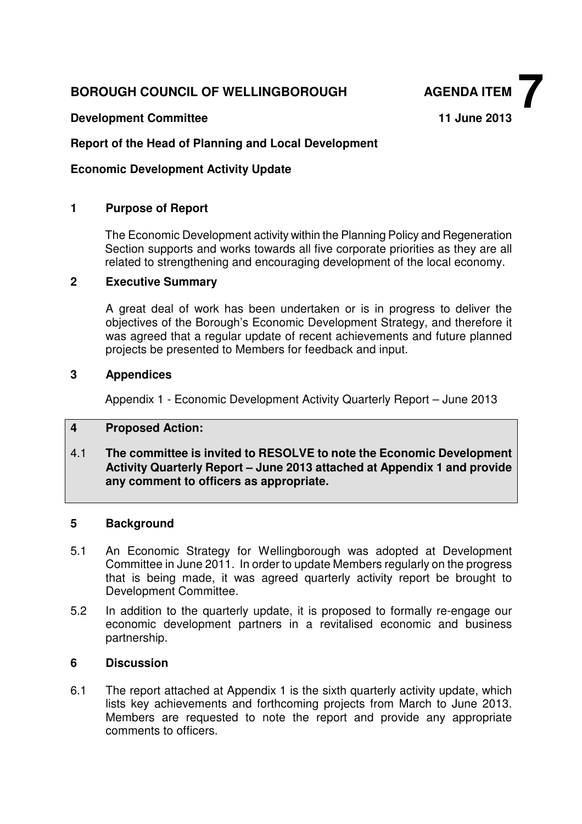## **BOROUGH COUNCIL OF WELLINGBOROUGH AGENDA ITEM**

**Development Committee 11 June 2013** 

**7**

## **Report of the Head of Planning and Local Development**

## **Economic Development Activity Update**

### **1 Purpose of Report**

The Economic Development activity within the Planning Policy and Regeneration Section supports and works towards all five corporate priorities as they are all related to strengthening and encouraging development of the local economy.

#### **2 Executive Summary**

A great deal of work has been undertaken or is in progress to deliver the objectives of the Borough's Economic Development Strategy, and therefore it was agreed that a regular update of recent achievements and future planned projects be presented to Members for feedback and input.

#### **3 Appendices**

Appendix 1 - Economic Development Activity Quarterly Report – June 2013

#### **4 Proposed Action:**

4.1 **The committee is invited to RESOLVE to note the Economic Development Activity Quarterly Report – June 2013 attached at Appendix 1 and provide any comment to officers as appropriate.** 

#### **5 Background**

- 5.1 An Economic Strategy for Wellingborough was adopted at Development Committee in June 2011. In order to update Members regularly on the progress that is being made, it was agreed quarterly activity report be brought to Development Committee.
- 5.2 In addition to the quarterly update, it is proposed to formally re-engage our economic development partners in a revitalised economic and business partnership.

#### **6 Discussion**

6.1 The report attached at Appendix 1 is the sixth quarterly activity update, which lists key achievements and forthcoming projects from March to June 2013. Members are requested to note the report and provide any appropriate comments to officers.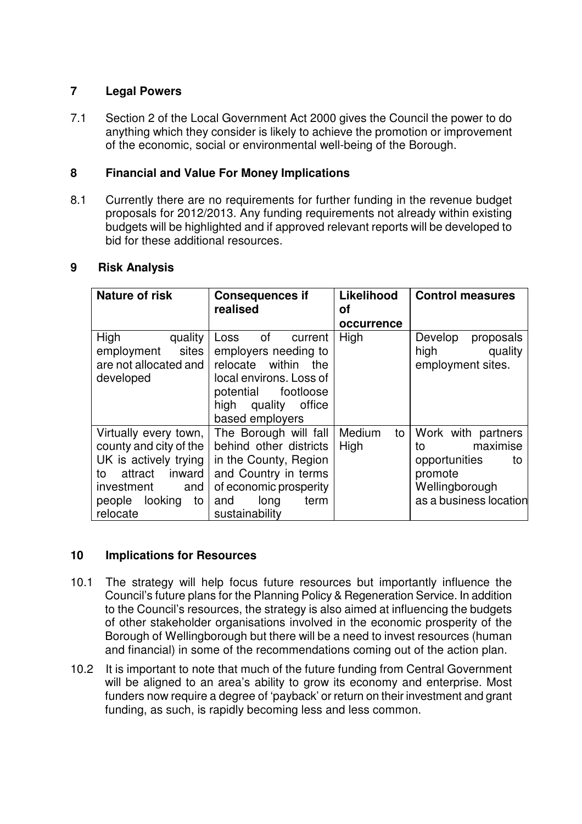## **7 Legal Powers**

7.1 Section 2 of the Local Government Act 2000 gives the Council the power to do anything which they consider is likely to achieve the promotion or improvement of the economic, social or environmental well-being of the Borough.

## **8 Financial and Value For Money Implications**

8.1 Currently there are no requirements for further funding in the revenue budget proposals for 2012/2013. Any funding requirements not already within existing budgets will be highlighted and if approved relevant reports will be developed to bid for these additional resources.

#### **9 Risk Analysis**

| <b>Nature of risk</b>                                                                                                                                        | <b>Consequences if</b><br>realised                                                                                                                                     | Likelihood<br>οf     | <b>Control measures</b>                                                                                            |
|--------------------------------------------------------------------------------------------------------------------------------------------------------------|------------------------------------------------------------------------------------------------------------------------------------------------------------------------|----------------------|--------------------------------------------------------------------------------------------------------------------|
|                                                                                                                                                              |                                                                                                                                                                        | occurrence           |                                                                                                                    |
| High<br>quality<br>sites<br>employment<br>are not allocated and<br>developed                                                                                 | of<br>Loss<br>current<br>employers needing to<br>relocate within<br>the<br>local environs. Loss of<br>potential<br>footloose<br>high quality office<br>based employers | High                 | Develop<br>proposals<br>high<br>quality<br>employment sites.                                                       |
| Virtually every town,<br>county and city of the<br>UK is actively trying<br>attract<br>inward<br>to<br>investment<br>and<br>people looking<br>to<br>relocate | The Borough will fall<br>behind other districts<br>in the County, Region<br>and Country in terms<br>of economic prosperity<br>long<br>term<br>and<br>sustainability    | Medium<br>to<br>High | Work with partners<br>maximise<br>to<br>opportunities<br>to<br>promote<br>Wellingborough<br>as a business location |

#### **10 Implications for Resources**

- 10.1 The strategy will help focus future resources but importantly influence the Council's future plans for the Planning Policy & Regeneration Service. In addition to the Council's resources, the strategy is also aimed at influencing the budgets of other stakeholder organisations involved in the economic prosperity of the Borough of Wellingborough but there will be a need to invest resources (human and financial) in some of the recommendations coming out of the action plan.
- 10.2 It is important to note that much of the future funding from Central Government will be aligned to an area's ability to grow its economy and enterprise. Most funders now require a degree of 'payback' or return on their investment and grant funding, as such, is rapidly becoming less and less common.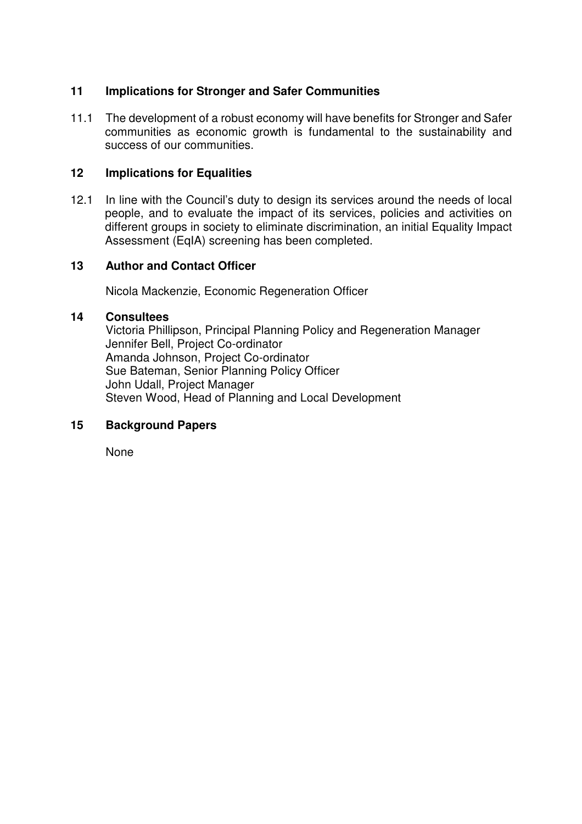## **11 Implications for Stronger and Safer Communities**

11.1 The development of a robust economy will have benefits for Stronger and Safer communities as economic growth is fundamental to the sustainability and success of our communities.

## **12 Implications for Equalities**

12.1 In line with the Council's duty to design its services around the needs of local people, and to evaluate the impact of its services, policies and activities on different groups in society to eliminate discrimination, an initial Equality Impact Assessment (EqIA) screening has been completed.

### **13 Author and Contact Officer**

Nicola Mackenzie, Economic Regeneration Officer

#### **14 Consultees**

Victoria Phillipson, Principal Planning Policy and Regeneration Manager Jennifer Bell, Project Co-ordinator Amanda Johnson, Project Co-ordinator Sue Bateman, Senior Planning Policy Officer John Udall, Project Manager Steven Wood, Head of Planning and Local Development

## **15 Background Papers**

None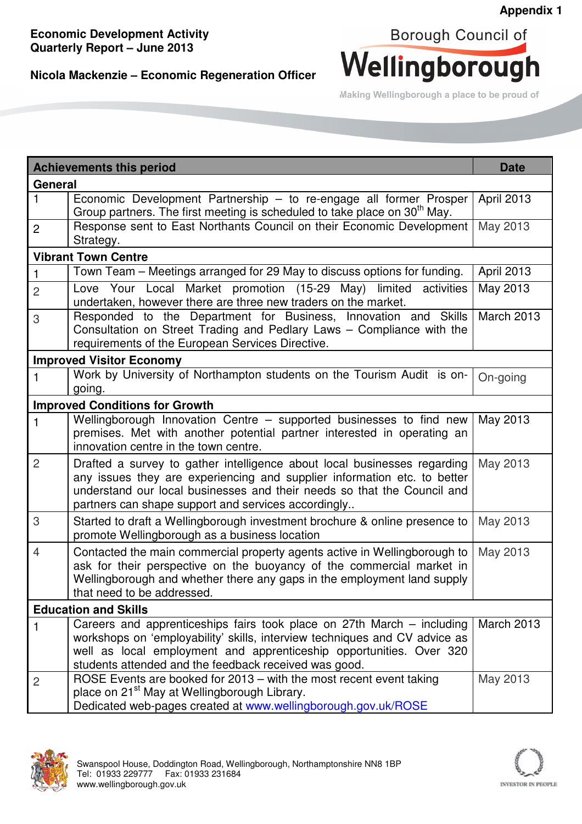# **Nicola Mackenzie – Economic Regeneration Officer**



Making Wellingborough a place to be proud of

| <b>Achievements this period</b>       | <b>Date</b>                                                                                                                                                                                                                                                                            |            |  |  |
|---------------------------------------|----------------------------------------------------------------------------------------------------------------------------------------------------------------------------------------------------------------------------------------------------------------------------------------|------------|--|--|
| General                               |                                                                                                                                                                                                                                                                                        |            |  |  |
| 1                                     | Economic Development Partnership - to re-engage all former Prosper<br>Group partners. The first meeting is scheduled to take place on 30 <sup>th</sup> May.                                                                                                                            | April 2013 |  |  |
| $\overline{2}$                        | Response sent to East Northants Council on their Economic Development<br>Strategy.                                                                                                                                                                                                     | May 2013   |  |  |
| <b>Vibrant Town Centre</b>            |                                                                                                                                                                                                                                                                                        |            |  |  |
| $\mathbf{1}$                          | Town Team - Meetings arranged for 29 May to discuss options for funding.                                                                                                                                                                                                               | April 2013 |  |  |
| $\overline{2}$                        | Love Your Local Market promotion (15-29 May)<br>limited<br>activities<br>undertaken, however there are three new traders on the market.                                                                                                                                                | May 2013   |  |  |
| 3                                     | Responded to the Department for Business, Innovation and Skills<br>Consultation on Street Trading and Pedlary Laws - Compliance with the<br>requirements of the European Services Directive.                                                                                           | March 2013 |  |  |
| <b>Improved Visitor Economy</b>       |                                                                                                                                                                                                                                                                                        |            |  |  |
| 1                                     | Work by University of Northampton students on the Tourism Audit is on-<br>going.                                                                                                                                                                                                       | On-going   |  |  |
| <b>Improved Conditions for Growth</b> |                                                                                                                                                                                                                                                                                        |            |  |  |
| 1                                     | Wellingborough Innovation Centre - supported businesses to find new<br>premises. Met with another potential partner interested in operating an<br>innovation centre in the town centre.                                                                                                | May 2013   |  |  |
| $\overline{2}$                        | Drafted a survey to gather intelligence about local businesses regarding<br>any issues they are experiencing and supplier information etc. to better<br>understand our local businesses and their needs so that the Council and<br>partners can shape support and services accordingly | May 2013   |  |  |
| 3                                     | Started to draft a Wellingborough investment brochure & online presence to<br>promote Wellingborough as a business location                                                                                                                                                            | May 2013   |  |  |
| $\overline{4}$                        | Contacted the main commercial property agents active in Wellingborough to<br>ask for their perspective on the buoyancy of the commercial market in<br>Wellingborough and whether there any gaps in the employment land supply<br>that need to be addressed.                            | May 2013   |  |  |
| <b>Education and Skills</b>           |                                                                                                                                                                                                                                                                                        |            |  |  |
| 1                                     | Careers and apprenticeships fairs took place on 27th March – including<br>workshops on 'employability' skills, interview techniques and CV advice as<br>well as local employment and apprenticeship opportunities. Over 320<br>students attended and the feedback received was good.   | March 2013 |  |  |
| 2                                     | ROSE Events are booked for 2013 - with the most recent event taking<br>place on 21 <sup>st</sup> May at Wellingborough Library.<br>Dedicated web-pages created at www.wellingborough.gov.uk/ROSE                                                                                       | May 2013   |  |  |